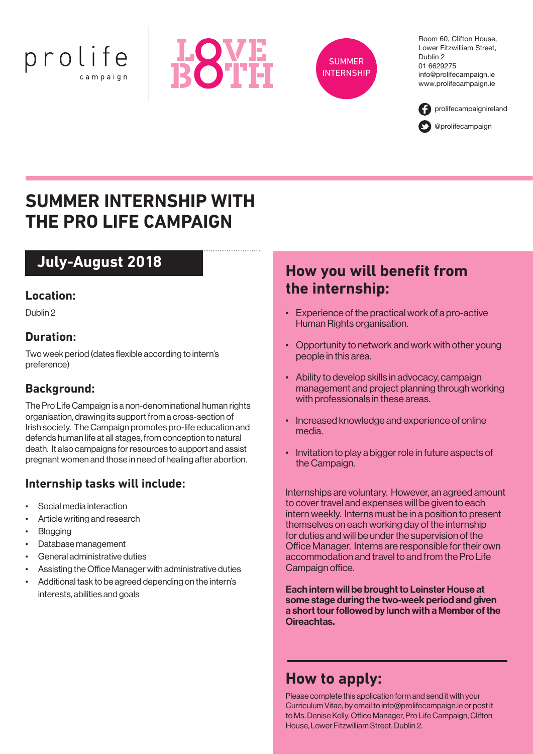





Room 60, Clifton House, Lower Fitzwilliam Street, Dublin 2 01 6629275 info@prolifecampaign.ie www.prolifecampaign.ie



# **SUMMER INTERNSHIP WITH THE PRO LIFE CAMPAIGN**

# **July-August 2018**

#### **Location:**

Dublin 2

#### **Duration:**

Two week period (dates flexible according to intern's preference)

#### **Background:**

The Pro Life Campaign is a non-denominational human rights organisation, drawing its support from a cross-section of Irish society. The Campaign promotes pro-life education and defends human life at all stages, from conception to natural death. It also campaigns for resources to support and assist pregnant women and those in need of healing after abortion.

- Social media interaction •
- Article writing and research •
- **Blogging** •
- Database management •
- General administrative duties •
- Assisting the Office Manager with administrative duties •
- Additional task to be agreed depending on the intern's interests, abilities and goals •

## **How you will benefit from the internship:**

- Experience of the practical work of a pro-active Human Rights organisation.
- Opportunity to network and work with other young people in this area.
- Ability to develop skills in advocacy, campaign management and project planning through working with professionals in these areas.
- Increased knowledge and experience of online media.
- Invitation to play a bigger role in future aspects of the Campaign.

**Internship tasks will include:** Internships are voluntary. However, an agreed amount to cover travel and expenses will be given to each intern weekly. Interns must be in a position to present themselves on each working day of the internship for duties and will be under the supervision of the Office Manager. Interns are responsible for their own accommodation and travel to and from the Pro Life Campaign office.

> Each intern will be brought to Leinster House at some stage during the two-week period and given a short tour followed by lunch with a Member of the Oireachtas.

## **How to apply:**

Please complete this application form and send it with your Curriculum Vitae, by email to info@prolifecampaign.ie or post it to Ms. Denise Kelly, Office Manager, Pro Life Campaign, Clifton House, Lower Fitzwilliam Street, Dublin 2.